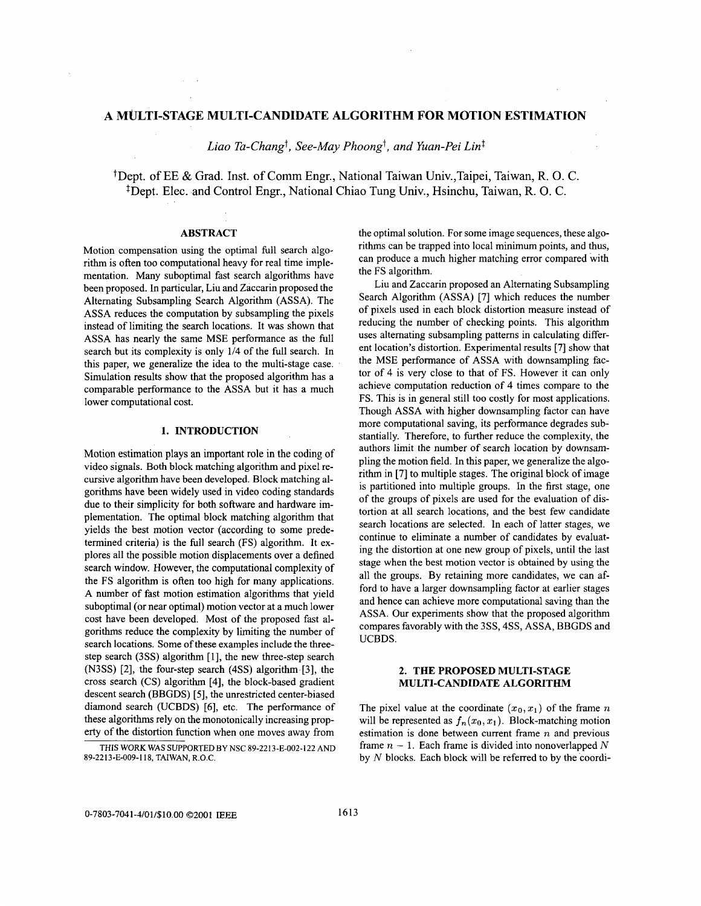# **A MULTI-STAGE MULTI-CANDIDATE ALGORITHM FOR MOTION ESTIMATION**

Liao Ta-Chang<sup>†</sup>, See-May Phoong<sup>†</sup>, and Yuan-Pei Lin<sup>‡</sup>

tDept. of EE & Grad. Inst. of Comm Engr., National Taiwan Univ.,Taipei, Taiwan, R. 0. C. <sup>‡</sup>Dept. Elec. and Control Engr., National Chiao Tung Univ., Hsinchu, Taiwan, R. O. C.

## **ABSTRACT**

Motion compensation using the optimal full search algorithm is often too computational heavy for real time implementation. Many suboptimal fast search algorithms have been proposed. In particular, Liu and Zaccarin proposed the Alternating Subsampling Search Algorithm (ASSA). The ASSA reduces the computation by subsampling the pixels instead of limiting the search locations. It was shown that ASSA has nearly the same MSE performance as the full search but its complexity is only 1/4 of the full search. In this paper, we generalize the idea to the multi-stage case. Simulation results show that the proposed algorithm has a comparable performance to the ASSA but it has a much lower computational cost.

### **1. INTRODUCTION**

Motion estimation plays an important role in the coding of video signals. Both block matching algorithm and pixel recursive algorithm have been developed. Block matching algorithms have been widely used in video coding standards due to their simplicity for both software and hardware implementation. The optimal block matching algorithm that yields the best motion vector (according to some predetermined criteria) is the full search (FS) algorithm. It explores all the possible motion displacements over a defined search window. However, the computational complexity of the FS algorithm is often too high for many applications. A number of fast motion estimation algorithms that yield suboptimal (or near optimal) motion vector at a much lower cost have been developed. Most of the proposed fast algorithms reduce the complexity by limiting the number of search locations. Some of these examples include the threestep search (3SS) algorithm [1], the new three-step search **(N3SS)** [2], the four-step search (4SS) algorithm [3], the cross search (CS) algorithm [4], the block-based gradient descent search (BBGDS) *[5],* the unrestricted center-biased diamond search (UCBDS) [6], etc. The performance of these algorithms rely on the monotonically increasing property of the distortion function when one moves away from

the optimal solution. For some image sequences, these algorithms can be trapped into local minimum points, and thus, can produce a much higher matching error compared with the FS algorithm.

Liu and Zaccarin proposed an Alternating Subsampling Search Algorithm (ASSA) [7] which reduces the number of pixels used in each block distortion measure instead of reducing the number of checking points. This algorithm uses alternating subsampling patterns in calculating different location's distortion. Experimental results [7] show that the MSE performance of ASSA with downsampling factor of 4 is very close to that of FS. However it can only achieve computation reduction of 4 times compare to the FS. This is in general still too costly for most applications. Though ASSA with higher downsampling factor can have more computational saving, its performance degrades substantially. Therefore, to further reduce the complexity, the authors limit the number of search location by downsampling the motion field. In this paper, we generalize the algorithm in [7] to multiple stages. The original block of image is partitioned into multiple groups. In the first stage, one of the groups of pixels are used for the evaluation of distortion at all search locations, and the best few candidate search locations are selected. In each of latter stages, we continue to eliminate a number of candidates by evaluating the distortion at one new group of pixels, until the last stage when the best motion vector is obtained by using the all the groups. By retaining more candidates, we can afford to have a larger downsampling factor at earlier stages and hence can achieve more computational saving than the ASSA. Our experiments show that the proposed algorithm compares favorably with the **3SS,** 4SS, ASSA, BBGDS and UCBDS.

### **2. THE PROPOSED MULTI-STAGE MULTI-CANDIDATE ALGORITHM**

The pixel value at the coordinate  $(x_0, x_1)$  of the frame *n* will be represented as  $f_n(x_0, x_1)$ . Block-matching motion estimation is done between current frame *n* and previous frame  $n-1$ . Each frame is divided into nonoverlapped N by N blocks. Each block will be referred to by the coordi-

THIS WORK **WAS** SUPPORTED **BY** NSC 89-2213-E-002-1 22 AND 89-2213-E-009-1 **18,** TAIWAN, R.O.C.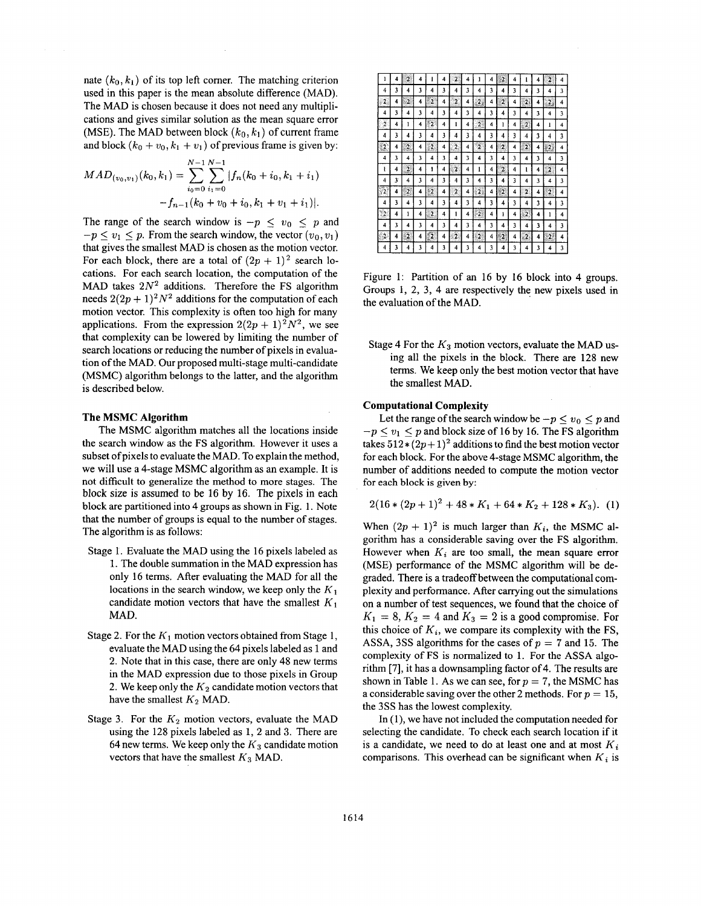nate  $(k_0, k_1)$  of its top left corner. The matching criterion used in this paper is the mean absolute difference (MAD). The MAD is chosen because it does not need any multiplications and gives similar solution as the mean square error (MSE). The MAD between block  $(k_0, k_1)$  of current frame and block  $(k_0 + v_0, k_1 + v_1)$  of previous frame is given by:

$$
MAD_{(v_0, v_1)}(k_0, k_1) = \sum_{i_0=0}^{N-1} \sum_{i_1=0}^{N-1} |f_n(k_0 + i_0, k_1 + i_1)| -f_{n-1}(k_0 + v_0 + i_0, k_1 + v_1 + i_1)|.
$$

The range of the search window is  $-p \le v_0 \le p$  and  $-p \lt v_1 \lt p$ . From the search window, the vector  $(v_0, v_1)$ that gives the smallest MAD is chosen as the motion vector. For each block, there are a total of  $(2p + 1)^2$  search locations. For each search location, the computation of the MAD takes  $2N^2$  additions. Therefore the FS algorithm needs  $2(2p + 1)^2 N^2$  additions for the computation of each motion vector. This complexity is often too high for many applications. From the expression  $2(2p + 1)^2 N^2$ , we see that complexity can be lowered by limiting the number of search locations or reducing the number of pixels in evaluation of the MAD. Our proposed multi-stage multi-candidate (MSMC) algorithm belongs to the latter, and the algorithm is described below.

#### **The MSMC Algorithm**

The MSMC algorithm matches all the locations inside the search window as the FS algorithm. However it uses a subset of pixels to evaluate the MAD. To explain the method, we will use a 4-stage MSMC algorithm as an example. It is not difficult to generalize the method to more stages. The block **size** is assumed to be 16 by 16. The pixels in each block are partitioned into 4 groups as shown in Fig. 1. Note that the number of groups is equal to the number of stages. The algorithm is as follows:

- Stage 1. Evaluate the MAD using the 16 pixels labeled as 1. The double summation in the MAD expression has only 16 terms. After evaluating the MAD for all the locations in the search window, we keep only the *K*  candidate motion vectors that have the smallest  $K_1$ **MAD.**
- Stage *2.* For the *K1* motion vectors obtained from Stage 1, evaluate the MAD using the 64 pixels labeled as 1 and 2. Note that in this case, there are only 48 new terms in the MAD expression due to those pixels in Group 2. We keep only the  $K_2$  candidate motion vectors that have the smallest  $K_2$  MAD.
- Stage 3. For the  $K_2$  motion vectors, evaluate the MAD using the 128 pixels labeled as 1, 2 and **3.** There are 64 new terms. We keep only the  $K_3$  candidate motion vectors that have the smallest  $K_3$  MAD.

| w<br>Ø,<br>$\overline{\mathbf{2}}$<br>2<br>1<br>4<br>4<br>4<br>4<br>2<br>1<br>k<br>4<br>ž<br>ı<br>4<br>ı<br>4<br>4<br>3<br>3<br>4<br>3<br>3<br>3<br>3<br>3<br>4<br>4<br>4<br>3<br>4<br>4<br>4<br>4<br>er Kri<br>2<br>-2<br>$\overline{2}$<br>$\overline{\mathbf{2}}$<br>$\overline{2}$<br>4<br>$\mathbf{2}_{2}$<br>2.<br>4<br>4<br>4<br>4<br>4<br>$2\pi$<br>4<br>4<br>3<br>4<br>3<br>3<br>3<br>3<br>3<br>4<br>$\overline{\mathbf{4}}$<br>4<br>4<br>4<br>3<br>3<br>4<br>4<br>2<br>2<br>$\boldsymbol{2}$<br>1<br>1<br>4<br>4<br>4<br>4<br>4<br>ı<br>$\overline{\mathbf{2}}$<br>4<br>ı<br>4<br>4<br>×<br>¢,<br><b>Service</b><br>3<br>3<br>3<br>3<br>3<br>3<br>4<br>3<br>4<br>4<br>4<br>4<br>4<br>3<br>$\overline{4}$<br>4<br>Teg<br>$^{2}$<br>$\overline{\mathbf{c}}$<br>$2\,$<br>$\mathbf{2}$<br>$\overline{2}$<br>$\overline{2}$<br>2<br>2<br>4<br>4<br>4<br>4<br>4<br>4<br>4<br>4<br>3<br>3<br>3<br>4<br>3<br>3<br>3<br>4<br>4<br>3<br>4<br>4<br>4<br>3<br>4<br>4<br>2<br>$\overline{c}$<br>ł<br>4<br>۱<br>$\overline{2}$<br>4<br>4<br>ı<br>2<br>4<br>4<br>ı<br>4<br>4<br>4<br>lesse.<br>хū<br>$\overline{\mathbf{3}}$<br>3<br>$\overline{\mathbf{3}}$<br>3<br>3<br>3<br>4<br>4<br>4<br>4<br>3<br>3<br>4<br>4<br>4<br>4<br>$100 - 10$<br>œ<br>dog<br>ĉ<br>$\overline{2}$<br>12<br>*2<br>$\overline{2}$<br>2.3<br>82.<br>4<br>4<br>4<br>2<br>$\mathbf{2}^-$<br>4<br>4<br>4<br>4<br>4<br>52<br>m<br>a de<br>3<br>3<br>3<br>3<br>4<br>3<br>3<br>4<br>3<br>4<br>4<br>4<br>4<br>3<br>4<br>4<br>m<br>×<br>$\overline{2}$<br>$\mathbf{2}$<br>4<br>1<br>-2<br>ı<br>4<br>4<br>4<br>4<br>ı<br>4<br>4<br>ı<br>4<br>A.<br>w<br>3<br>3<br>4<br>3<br>3<br>4<br>3<br>3<br>3<br>4<br>4<br>4<br>3<br>4<br>4<br>4<br>m<br>m<br>um<br>- 2<br>$\mathbf{\hat{Q}}$<br>2<br>Ý.<br>$\overline{\mathbf{z}}$<br>$\overline{2}$<br>4<br>4<br>4<br>-2<br>4<br>22<br>4<br>4<br>4<br>4<br>$\overline{\mathcal{L}}$<br>3<br>3<br>3<br>3<br>4<br>3<br>3<br>4<br>4<br>3<br>4<br>3<br>4<br>4<br>4<br>4 |    |  |  |  |  |  |  |  |  |
|-----------------------------------------------------------------------------------------------------------------------------------------------------------------------------------------------------------------------------------------------------------------------------------------------------------------------------------------------------------------------------------------------------------------------------------------------------------------------------------------------------------------------------------------------------------------------------------------------------------------------------------------------------------------------------------------------------------------------------------------------------------------------------------------------------------------------------------------------------------------------------------------------------------------------------------------------------------------------------------------------------------------------------------------------------------------------------------------------------------------------------------------------------------------------------------------------------------------------------------------------------------------------------------------------------------------------------------------------------------------------------------------------------------------------------------------------------------------------------------------------------------------------------------------------------------------------------------------------------------------------------------------------------------------------------------------------------------------------------------------------------------------------------------------------------------------------------------------------------------------------------------------------------------------------------------------------------------------------|----|--|--|--|--|--|--|--|--|
|                                                                                                                                                                                                                                                                                                                                                                                                                                                                                                                                                                                                                                                                                                                                                                                                                                                                                                                                                                                                                                                                                                                                                                                                                                                                                                                                                                                                                                                                                                                                                                                                                                                                                                                                                                                                                                                                                                                                                                       |    |  |  |  |  |  |  |  |  |
|                                                                                                                                                                                                                                                                                                                                                                                                                                                                                                                                                                                                                                                                                                                                                                                                                                                                                                                                                                                                                                                                                                                                                                                                                                                                                                                                                                                                                                                                                                                                                                                                                                                                                                                                                                                                                                                                                                                                                                       |    |  |  |  |  |  |  |  |  |
|                                                                                                                                                                                                                                                                                                                                                                                                                                                                                                                                                                                                                                                                                                                                                                                                                                                                                                                                                                                                                                                                                                                                                                                                                                                                                                                                                                                                                                                                                                                                                                                                                                                                                                                                                                                                                                                                                                                                                                       |    |  |  |  |  |  |  |  |  |
|                                                                                                                                                                                                                                                                                                                                                                                                                                                                                                                                                                                                                                                                                                                                                                                                                                                                                                                                                                                                                                                                                                                                                                                                                                                                                                                                                                                                                                                                                                                                                                                                                                                                                                                                                                                                                                                                                                                                                                       |    |  |  |  |  |  |  |  |  |
|                                                                                                                                                                                                                                                                                                                                                                                                                                                                                                                                                                                                                                                                                                                                                                                                                                                                                                                                                                                                                                                                                                                                                                                                                                                                                                                                                                                                                                                                                                                                                                                                                                                                                                                                                                                                                                                                                                                                                                       |    |  |  |  |  |  |  |  |  |
|                                                                                                                                                                                                                                                                                                                                                                                                                                                                                                                                                                                                                                                                                                                                                                                                                                                                                                                                                                                                                                                                                                                                                                                                                                                                                                                                                                                                                                                                                                                                                                                                                                                                                                                                                                                                                                                                                                                                                                       |    |  |  |  |  |  |  |  |  |
|                                                                                                                                                                                                                                                                                                                                                                                                                                                                                                                                                                                                                                                                                                                                                                                                                                                                                                                                                                                                                                                                                                                                                                                                                                                                                                                                                                                                                                                                                                                                                                                                                                                                                                                                                                                                                                                                                                                                                                       |    |  |  |  |  |  |  |  |  |
|                                                                                                                                                                                                                                                                                                                                                                                                                                                                                                                                                                                                                                                                                                                                                                                                                                                                                                                                                                                                                                                                                                                                                                                                                                                                                                                                                                                                                                                                                                                                                                                                                                                                                                                                                                                                                                                                                                                                                                       |    |  |  |  |  |  |  |  |  |
|                                                                                                                                                                                                                                                                                                                                                                                                                                                                                                                                                                                                                                                                                                                                                                                                                                                                                                                                                                                                                                                                                                                                                                                                                                                                                                                                                                                                                                                                                                                                                                                                                                                                                                                                                                                                                                                                                                                                                                       |    |  |  |  |  |  |  |  |  |
|                                                                                                                                                                                                                                                                                                                                                                                                                                                                                                                                                                                                                                                                                                                                                                                                                                                                                                                                                                                                                                                                                                                                                                                                                                                                                                                                                                                                                                                                                                                                                                                                                                                                                                                                                                                                                                                                                                                                                                       |    |  |  |  |  |  |  |  |  |
|                                                                                                                                                                                                                                                                                                                                                                                                                                                                                                                                                                                                                                                                                                                                                                                                                                                                                                                                                                                                                                                                                                                                                                                                                                                                                                                                                                                                                                                                                                                                                                                                                                                                                                                                                                                                                                                                                                                                                                       |    |  |  |  |  |  |  |  |  |
|                                                                                                                                                                                                                                                                                                                                                                                                                                                                                                                                                                                                                                                                                                                                                                                                                                                                                                                                                                                                                                                                                                                                                                                                                                                                                                                                                                                                                                                                                                                                                                                                                                                                                                                                                                                                                                                                                                                                                                       |    |  |  |  |  |  |  |  |  |
|                                                                                                                                                                                                                                                                                                                                                                                                                                                                                                                                                                                                                                                                                                                                                                                                                                                                                                                                                                                                                                                                                                                                                                                                                                                                                                                                                                                                                                                                                                                                                                                                                                                                                                                                                                                                                                                                                                                                                                       | Ď2 |  |  |  |  |  |  |  |  |
|                                                                                                                                                                                                                                                                                                                                                                                                                                                                                                                                                                                                                                                                                                                                                                                                                                                                                                                                                                                                                                                                                                                                                                                                                                                                                                                                                                                                                                                                                                                                                                                                                                                                                                                                                                                                                                                                                                                                                                       |    |  |  |  |  |  |  |  |  |
|                                                                                                                                                                                                                                                                                                                                                                                                                                                                                                                                                                                                                                                                                                                                                                                                                                                                                                                                                                                                                                                                                                                                                                                                                                                                                                                                                                                                                                                                                                                                                                                                                                                                                                                                                                                                                                                                                                                                                                       |    |  |  |  |  |  |  |  |  |
|                                                                                                                                                                                                                                                                                                                                                                                                                                                                                                                                                                                                                                                                                                                                                                                                                                                                                                                                                                                                                                                                                                                                                                                                                                                                                                                                                                                                                                                                                                                                                                                                                                                                                                                                                                                                                                                                                                                                                                       |    |  |  |  |  |  |  |  |  |

Figure 1: Partition of **an** 16 by 16 block into 4 groups. Groups **1,** *2,* **3,** 4 are respectively the new pixels used in the evaluation of the MAD.

Stage 4 For the *K3* motion vectors, evaluate the MAD using all the pixels in the block. There are 128 new terms. We keep only the best motion vector that have the smallest MAD.

### **Computational Complexity**

Let the range of the search window be  $-p \le v_0 \le p$  and  $-p \lt v_1 \lt p$  and block size of 16 by 16. The FS algorithm takes  $512*(2p+1)^2$  additions to find the best motion vector for each block. For the above 4-stage MSMC algorithm, the number of additions needed to compute the motion vector for each block **is** given by:

$$
2(16*(2p+1)^2+48*K_1+64*K_2+128*K_3).
$$
 (1)

When  $(2p + 1)^2$  is much larger than  $K_i$ , the MSMC algorithm has a considerable saving over the FS algorithm. However when  $K_i$  are too small, the mean square error (MSE) performance of the MSMC algorithm will be degraded. There is a tradeoff between the computational complexity and performance. After carrying out the simulations on a number of test sequences, we found that the choice of  $K_1 = 8, K_2 = 4$  and  $K_3 = 2$  is a good compromise. For this choice of  $K_i$ , we compare its complexity with the FS, ASSA, 3SS algorithms for the cases of  $p = 7$  and 15. The complexity of FS is normalized to 1. For the ASSA algorithm  $[7]$ , it has a downsampling factor of 4. The results are shown in Table 1. As we can see, for  $p = 7$ , the MSMC has a considerable saving over the other *2* methods. For *p* = 15, the **3SS** has the lowest complexity.

In (1), we have not included the computation needed for selecting the candidate. To check each search location if it is a candidate, we need to do at least one and at most  $K_i$ comparisons. This overhead can be significant when  $K_i$  is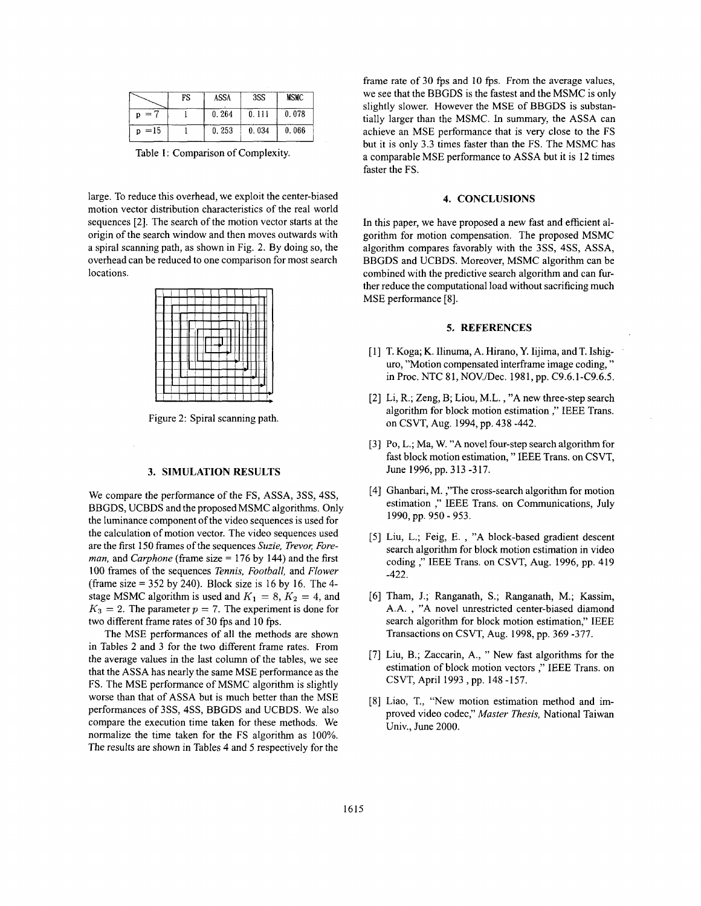|          | FS | <b>ASSA</b> | 3SS   | <b>MSMC</b> |
|----------|----|-------------|-------|-------------|
|          |    | 0.264       | 0.111 | 0.078       |
| $p = 15$ |    | 0.253       | 0.034 | 0.066       |

Table 1: Comparison of Complexity.

large. To reduce this overhead, we exploit the center-biased motion vector distribution characteristics of the real world sequences [2]. The search of the motion vector starts at the origin of the search window and then moves outwards with a spiral scanning path, as shown in Fig. *2.* By doing so, the overhead can be reduced to one comparison for most search locations.



Figure 2: Spiral scanning path.

## **3. SIMULATION RESULTS**

We compare the performance of the FS, ASSA, 3SS, 4SS, BBGDS, UCBDS and the proposed MSMC algorithms. Only the luminance component of the video sequences is used for the calculation of motion vector. The video sequences used are the first 150 frames of the sequences Suzie, Trevor, Fore*man,* and *Carphone* (frame size = 176 by 144) and the first 100 frames of the sequences *Tennis, Football,* and *Flower*  (frame size  $= 352$  by 240). Block size is 16 by 16. The 4stage MSMC algorithm is used and  $K_1 = 8$ ,  $K_2 = 4$ , and  $K_3 = 2$ . The parameter  $p = 7$ . The experiment is done for two different frame rates of 30 fps and 10 fps.

The MSE performances of all the methods are shown in Tables 2 and 3 for the two different frame rates. From the average values in the last column of the tables, we see that the ASSA has nearly the same MSE performance as the FS. The MSE performance of MSMC algorithm is slightly worse than that of ASSA but is much better than the MSE performances of 3SS, 4SS, BBGDS and UCBDS. We also compare the execution time taken for these methods. We normalize the time taken for the FS algorithm as 100%. The results are shown in Tables 4 and 5 respectively for the frame rate of 30 *fps* and 10 *fps.* From the average values, we see that the BBGDS is the fastest and the MSMC is only slightly slower. However the MSE of BBGDS is substantially larger than the MSMC. In summary, the ASSA can achieve an MSE performance that is very close to the FS but it is only 3.3 times faster than the FS. The MSMC has a comparable MSE performance to ASSA but it is 12 times faster the FS.

#### **4. CONCLUSIONS**

In this paper, we have proposed a new fast and efficient algorithm for motion compensation. The proposed MSMC algorithm compares favorably with the 3SS, 4SS, ASSA, BBGDS and UCBDS. Moreover, MSMC algorithm can be combined with the predictive search algorithm and can further reduce the computational load without sacrificing much MSE performance [8].

## **5. REFERENCES**

- [ 11 T. Koga; K. Ilinuma, A. Hirano, Y. Iijima, and T. Ishiguro, "Motion compensated interframe image coding, " in Proc. NTC 8 1, NOV./Dec. 198 **1,** pp. C9.6.1 -C9.6.5.
- [2] Li, R.; Zeng, B; Liou, M.L., "A new three-step search algorithm for block motion estimation ," IEEE Trans. on CSVT, Aug. 1994, pp. 438 -442.
- [3] Po, L.; Ma, W. **"A** novel four-step search algorithm for fast block motion estimation, " IEEE Trans. on CSVT, June 1996,pp. 313 -317.
- [4] Ghanbari, M. ,"The cross-search algorithm for motion estimation ," IEEE Trans. on Communications, July 1990, pp. 950 - 953.
- [5] Liu, L.; Feig, E. , "A block-based gradient descent search algorithm for block motion estimation in video coding ," IEEE Trans. on CSVT, **Aug.** 1996, pp. 419 -422.
- [6] Tham, J.; Ranganath, S.; Ranganath, M.; Kassim, A.A. , "A novel unrestricted center-biased diamond search algorithm for block motion estimation," IEEE Transactions on CSVT, Aug. 1998, pp. 369 -377.
- 71 Liu, B.; Zaccarin, A., " New fast algorithms for the estimation of block motion vectors ," IEEE Trans. on CSVT, April 1993, pp. 148 -157.
- 81 Liao, T., "New motion estimation method and improved video codec," *Master Thesis,* National Taiwan Univ., June 2000.